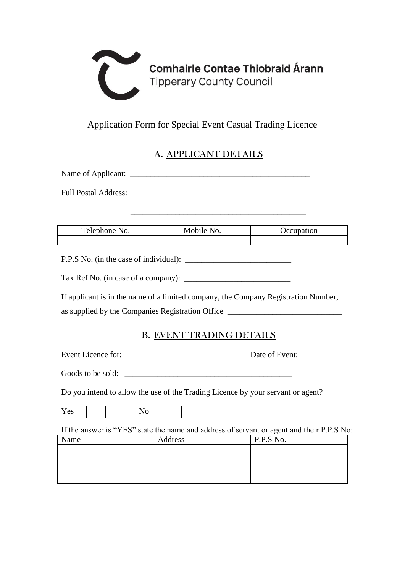

## Application Form for Special Event Casual Trading Licence

## A. APPLICANT DETAILS

| Name of Applicant:          |  |
|-----------------------------|--|
| <b>Full Postal Address:</b> |  |

\_\_\_\_\_\_\_\_\_\_\_\_\_\_\_\_\_\_\_\_\_\_\_\_\_\_\_\_\_\_\_\_\_\_\_\_\_\_\_\_\_\_\_

| Telephone No. | Mobile No. | Occupation |
|---------------|------------|------------|
|               |            |            |

P.P.S No. (in the case of individual):

Tax Ref No. (in case of a company): \_\_\_\_\_\_\_\_\_\_\_\_\_\_\_\_\_\_\_\_\_\_\_\_\_\_

If applicant is in the name of a limited company, the Company Registration Number, as supplied by the Companies Registration Office \_\_\_\_\_\_\_\_\_\_\_\_\_\_\_\_\_\_\_\_\_\_\_\_\_\_\_\_\_\_\_\_

### B. EVENT TRADING DETAILS

| Event Licence for: |  | Date of Event: |  |
|--------------------|--|----------------|--|
|--------------------|--|----------------|--|

Goods to be sold:

Do you intend to allow the use of the Trading Licence by your servant or agent?

| Yes |  | No |  |
|-----|--|----|--|
|-----|--|----|--|

If the answer is "YES" state the name and address of servant or agent and their P.P.S No:

| Name | Address | P.P.S No. |
|------|---------|-----------|
|      |         |           |
|      |         |           |
|      |         |           |
|      |         |           |